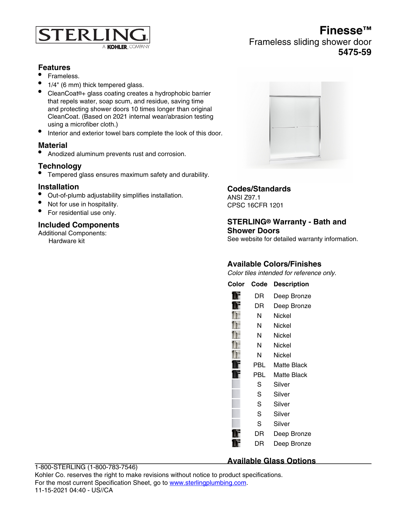

# **Finesse™** Frameless sliding shower door **5475-59**

# **Features**

- Frameless.
- 1/4" (6 mm) thick tempered glass.
- CleanCoat®+ glass coating creates a hydrophobic barrier that repels water, soap scum, and residue, saving time and protecting shower doors 10 times longer than original CleanCoat. (Based on 2021 internal wear/abrasion testing using a microfiber cloth.)
- Interior and exterior towel bars complete the look of this door.

### **Material**

• Anodized aluminum prevents rust and corrosion.

# **Technology**

• Tempered glass ensures maximum safety and durability.

### **Installation**

- Out-of-plumb adjustability simplifies installation.
- Not for use in hospitality.
- For residential use only.

### **Included Components**

Additional Components: Hardware kit



# **Codes/Standards**

ANSI Z97.1 CPSC 16CFR 1201

#### **STERLING® Warranty - Bath and Shower Doors**

See website for detailed warranty information.

# **Available Colors/Finishes**

Color tiles intended for reference only.

| Color | Code | <b>Description</b> |
|-------|------|--------------------|
|       | DR   | Deep Bronze        |
|       | DR   | Deep Bronze        |
|       | N    | Nickel             |
|       | N    | Nickel             |
|       | N    | Nickel             |
|       | Ν    | Nickel             |
|       | Ν    | Nickel             |
|       | PBL  | Matte Black        |
|       | PBL  | Matte Black        |
|       | S    | Silver             |
|       | S    | Silver             |
|       | S    | Silver             |
|       | S    | Silver             |
|       | S    | Silver             |
|       | DR   | Deep Bronze        |
|       | DR   | Deep Bronze        |

#### **Available Glass Options**

**Code Description** 1-800-STERLING (1-800-783-7546) Kohler Co. reserves the right to make revisions without notice to product specifications. For the most current Specification Sheet, go to [www.sterlingplumbing.com.](http://www.sterlingplumbing.com) 11-15-2021 04:40 - US//CA